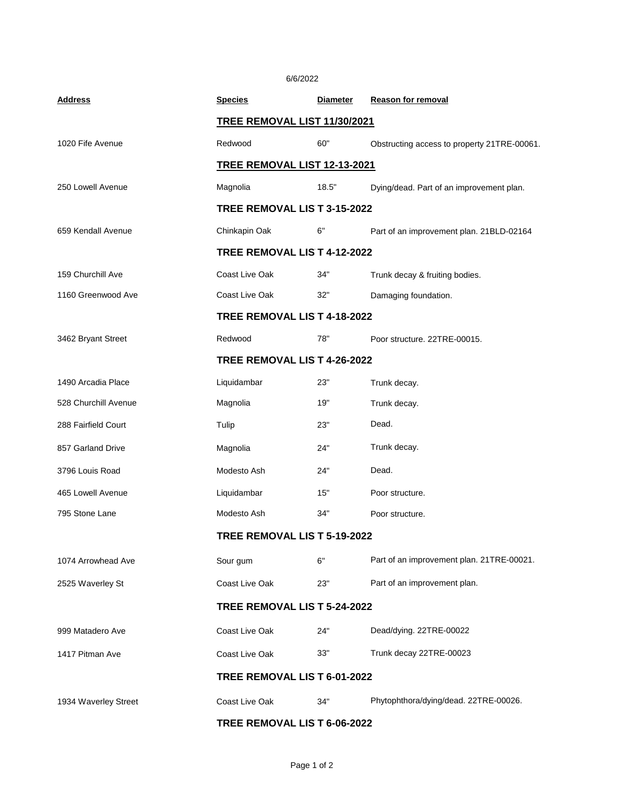6/6/2022

| <b>Address</b>       | <b>Species</b>                      | <b>Diameter</b> | <b>Reason for removal</b>                   |  |
|----------------------|-------------------------------------|-----------------|---------------------------------------------|--|
|                      | TREE REMOVAL LIST 11/30/2021        |                 |                                             |  |
| 1020 Fife Avenue     | Redwood                             | 60"             | Obstructing access to property 21TRE-00061. |  |
|                      | <b>TREE REMOVAL LIST 12-13-2021</b> |                 |                                             |  |
| 250 Lowell Avenue    | Magnolia                            | 18.5"           | Dying/dead. Part of an improvement plan.    |  |
|                      | TREE REMOVAL LIS T 3-15-2022        |                 |                                             |  |
| 659 Kendall Avenue   | Chinkapin Oak                       | 6"              | Part of an improvement plan. 21BLD-02164    |  |
|                      | TREE REMOVAL LIS T 4-12-2022        |                 |                                             |  |
| 159 Churchill Ave    | Coast Live Oak                      | 34"             | Trunk decay & fruiting bodies.              |  |
| 1160 Greenwood Ave   | Coast Live Oak                      | 32"             | Damaging foundation.                        |  |
|                      | TREE REMOVAL LIS T 4-18-2022        |                 |                                             |  |
| 3462 Bryant Street   | Redwood                             | 78"             | Poor structure, 22TRE-00015.                |  |
|                      | TREE REMOVAL LIS T 4-26-2022        |                 |                                             |  |
| 1490 Arcadia Place   | Liquidambar                         | 23"             | Trunk decay.                                |  |
| 528 Churchill Avenue | Magnolia                            | 19"             | Trunk decay.                                |  |
| 288 Fairfield Court  | Tulip                               | 23"             | Dead.                                       |  |
| 857 Garland Drive    | Magnolia                            | 24"             | Trunk decay.                                |  |
| 3796 Louis Road      | Modesto Ash                         | 24"             | Dead.                                       |  |
| 465 Lowell Avenue    | Liquidambar                         | 15"             | Poor structure.                             |  |
| 795 Stone Lane       | Modesto Ash                         | 34"             | Poor structure.                             |  |
|                      | TREE REMOVAL LIS T 5-19-2022        |                 |                                             |  |
| 1074 Arrowhead Ave   | Sour gum                            | 6"              | Part of an improvement plan. 21TRE-00021.   |  |
| 2525 Waverley St     | Coast Live Oak                      | 23"             | Part of an improvement plan.                |  |
|                      | TREE REMOVAL LIS T 5-24-2022        |                 |                                             |  |
| 999 Matadero Ave     | Coast Live Oak                      | 24"             | Dead/dying. 22TRE-00022                     |  |
| 1417 Pitman Ave      | Coast Live Oak                      | 33"             | Trunk decay 22TRE-00023                     |  |
|                      | TREE REMOVAL LIS T 6-01-2022        |                 |                                             |  |
| 1934 Waverley Street | Coast Live Oak                      | 34"             | Phytophthora/dying/dead. 22TRE-00026.       |  |
|                      | TREE REMOVAL LIS T 6-06-2022        |                 |                                             |  |